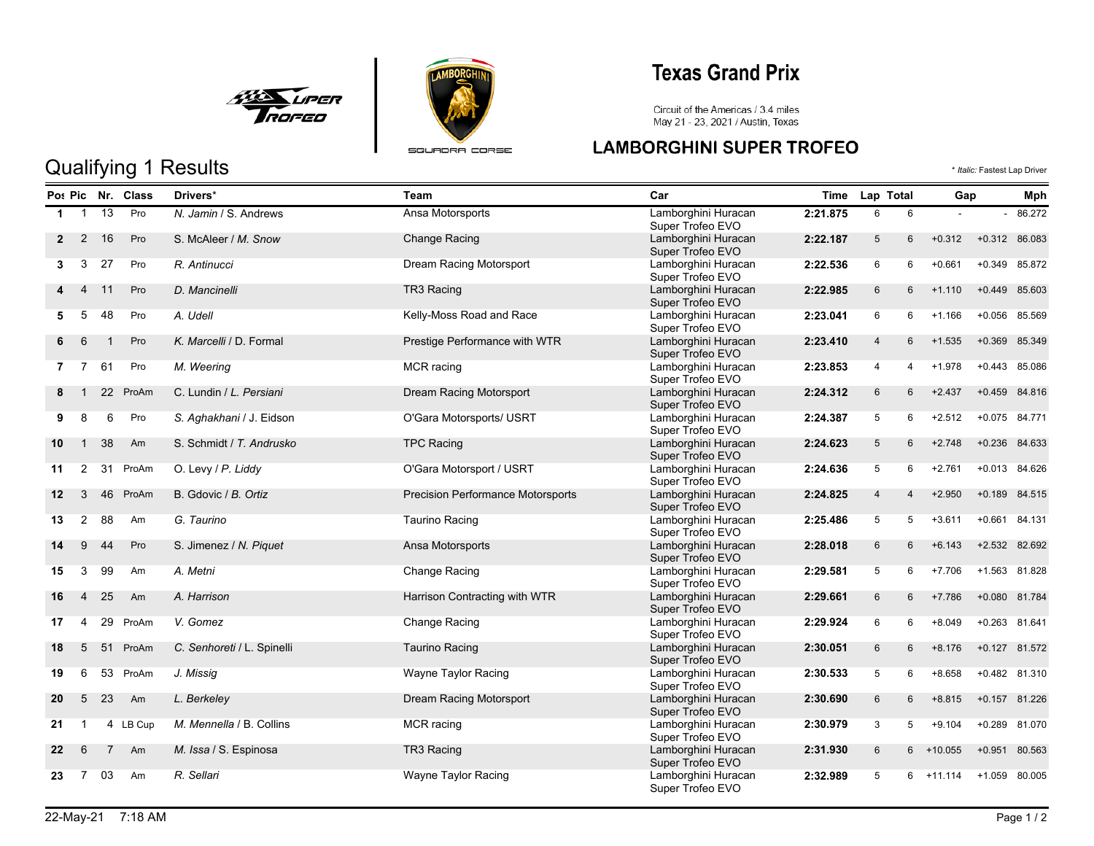



# **Texas Grand Prix**

Circuit of the Americas / 3.4 miles<br>May 21 - 23, 2021 / Austin, Texas

### **LAMBORGHINI SUPER TROFEO**

|             |                   |    | Po: Pic Nr. Class | Drivers*                   | Team                                     | Car                                                      | <b>Time</b> | Lap Total      |                 |                | Gap           |               |
|-------------|-------------------|----|-------------------|----------------------------|------------------------------------------|----------------------------------------------------------|-------------|----------------|-----------------|----------------|---------------|---------------|
| $\mathbf 1$ | $\overline{1}$    | 13 | Pro               | N. Jamin / S. Andrews      | Ansa Motorsports                         | Lamborghini Huracan<br>2:21.875<br>6<br>Super Trofeo EVO |             | 6              |                 | $\blacksquare$ | 86.272        |               |
|             | 2<br>$\mathbf{2}$ | 16 | Pro               | S. McAleer / M. Snow       | <b>Change Racing</b>                     | Lamborghini Huracan<br>Super Trofeo EVO                  | 2:22.187    | 5              | $6\overline{6}$ | $+0.312$       | +0.312 86.083 |               |
| 3           | 3                 | 27 | Pro               | R. Antinucci               | Dream Racing Motorsport                  | Lamborghini Huracan<br>Super Trofeo EVO                  | 2:22.536    | 6              | 6               | $+0.661$       | $+0.349$      | 85.872        |
|             | $\overline{4}$    | 11 | Pro               | D. Mancinelli              | TR3 Racing                               | Lamborghini Huracan<br>Super Trofeo EVO                  | 2:22.985    | $6\phantom{.}$ | 6               | $+1.110$       | $+0.449$      | 85.603        |
| 5           | 5                 | 48 | Pro               | A. Udell                   | Kelly-Moss Road and Race                 | Lamborghini Huracan<br>Super Trofeo EVO                  | 2:23.041    | 6              | 6               | $+1.166$       | $+0.056$      | 85.569        |
|             | 6                 |    | Pro               | K. Marcelli / D. Formal    | Prestige Performance with WTR            | Lamborghini Huracan<br>Super Trofeo EVO                  | 2:23.410    | $\overline{4}$ | 6               | $+1.535$       | $+0.369$      | 85.349        |
|             | 7<br>$7^{\circ}$  | 61 | Pro               | M. Weering                 | MCR racing                               | Lamborghini Huracan<br>Super Trofeo EVO                  | 2:23.853    | 4              | 4               | $+1.978$       | $+0.443$      | 85.086        |
| 8           | $\overline{1}$    | 22 | ProAm             | C. Lundin / L. Persiani    | Dream Racing Motorsport                  | Lamborghini Huracan<br>Super Trofeo EVO                  | 2:24.312    | 6              | 6               | $+2.437$       |               | +0.459 84.816 |
| 9           | 8                 | 6  | Pro               | S. Aghakhani / J. Eidson   | O'Gara Motorsports/ USRT                 | Lamborghini Huracan<br>Super Trofeo EVO                  | 2:24.387    | 5              | 6               | $+2.512$       | $+0.075$      | 84.771        |
| 10          | $\mathbf{1}$      | 38 | Am                | S. Schmidt / T. Andrusko   | <b>TPC Racing</b>                        | Lamborghini Huracan<br>Super Trofeo EVO                  | 2:24.623    | 5              | 6               | $+2.748$       | $+0.236$      | 84.633        |
| 11          | 2                 | 31 | ProAm             | O. Levy / P. Liddy         | O'Gara Motorsport / USRT                 | Lamborghini Huracan<br>Super Trofeo EVO                  | 2:24.636    | 5              | 6               | $+2.761$       | $+0.013$      | 84.626        |
| $12 \,$     | 3                 | 46 | ProAm             | B. Gdovic / B. Ortiz       | <b>Precision Performance Motorsports</b> | Lamborghini Huracan<br>Super Trofeo EVO                  | 2:24.825    | $\overline{4}$ | 4               | $+2.950$       | $+0.189$      | 84.515        |
| 13          | 2                 | 88 | Am                | G. Taurino                 | <b>Taurino Racing</b>                    | Lamborghini Huracan<br>Super Trofeo EVO                  | 2:25.486    | 5              | 5               | $+3.611$       | $+0.661$      | 84.131        |
| 14          | 9                 | 44 | Pro               | S. Jimenez / N. Piquet     | Ansa Motorsports                         | Lamborghini Huracan<br>Super Trofeo EVO                  | 2:28.018    | $6\phantom{1}$ | 6               | $+6.143$       | $+2.532$      | 82.692        |
| 15          | 3                 | 99 | Am                | A. Metni                   | <b>Change Racing</b>                     | Lamborghini Huracan<br>Super Trofeo EVO                  | 2:29.581    | 5              | 6               | $+7.706$       | +1.563 81.828 |               |
| 16          | 4                 | 25 | Am                | A. Harrison                | Harrison Contracting with WTR            | Lamborghini Huracan<br>Super Trofeo EVO                  | 2:29.661    | $6\phantom{.}$ | 6               | $+7.786$       | $+0.080$      | 81.784        |
| 17          | $\overline{4}$    | 29 | ProAm             | V. Gomez                   | Change Racing                            | Lamborghini Huracan<br>Super Trofeo EVO                  | 2:29.924    | 6              | 6               | $+8.049$       | +0.263 81.641 |               |
| 18          | 5                 | 51 | ProAm             | C. Senhoreti / L. Spinelli | <b>Taurino Racing</b>                    | Lamborghini Huracan<br>Super Trofeo EVO                  | 2:30.051    | 6              | 6               | $+8.176$       | $+0.127$      | 81.572        |
| 19          | 6                 | 53 | ProAm             | J. Missig                  | Wayne Taylor Racing                      | Lamborghini Huracan<br>Super Trofeo EVO                  | 2:30.533    | 5              | 6               | $+8.658$       |               | +0.482 81.310 |
| 20          | 5                 | 23 | Am                | L. Berkeley                | Dream Racing Motorsport                  | Lamborghini Huracan<br>Super Trofeo EVO                  | 2:30.690    | $6\phantom{.}$ | 6               | $+8.815$       | $+0.157$      | 81.226        |
| 21          |                   |    | 4 LB Cup          | M. Mennella / B. Collins   | MCR racing                               | Lamborghini Huracan<br>Super Trofeo EVO                  | 2:30.979    | 3              | 5               | $+9.104$       | $+0.289$      | 81.070        |
| 22          | 6                 | 7  | Am                | M. Issa / S. Espinosa      | TR3 Racing                               | Lamborghini Huracan<br>Super Trofeo EVO                  | 2:31.930    | $6\phantom{.}$ | 6               | $+10.055$      | $+0.951$      | 80.563        |
| 23          | 7                 | 03 | Am                | R. Sellari                 | Wayne Taylor Racing                      | Lamborghini Huracan<br>Super Trofeo EVO                  | 2:32.989    | 5              | 6               | $+11.114$      | $+1.059$      | 80.005        |

# Qualifying 1 Results  $\bullet$  *Italic:* Fastest Lap Driver